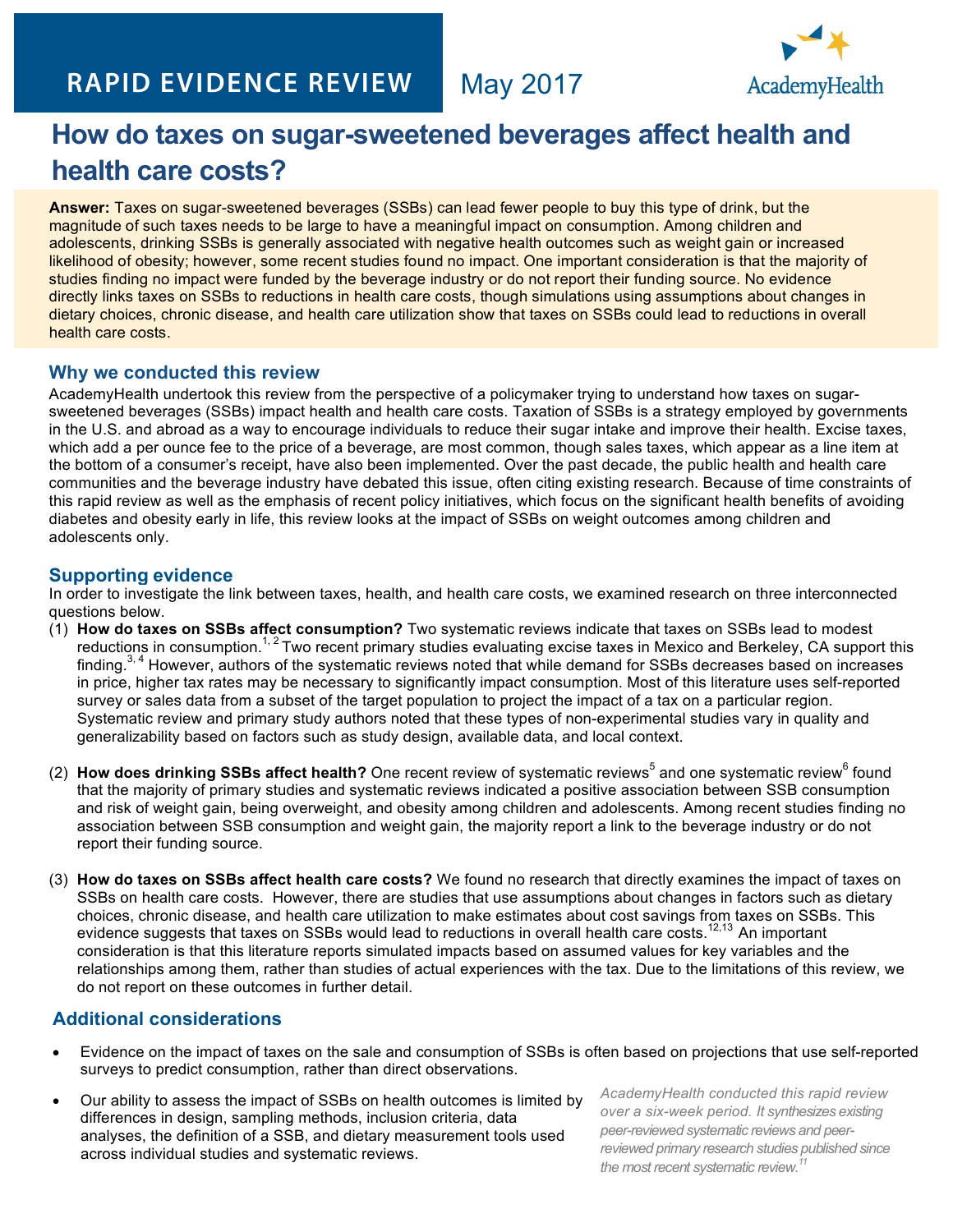# **RAPID EVIDENCE REVIEW**



# **How do taxes on sugar-sweetened beverages affect health and health care costs?**

**Answer:** Taxes on sugar-sweetened beverages (SSBs) can lead fewer people to buy this type of drink, but the magnitude of such taxes needs to be large to have a meaningful impact on consumption. Among children and adolescents, drinking SSBs is generally associated with negative health outcomes such as weight gain or increased likelihood of obesity; however, some recent studies found no impact. One important consideration is that the majority of studies finding no impact were funded by the beverage industry or do not report their funding source. No evidence directly links taxes on SSBs to reductions in health care costs, though simulations using assumptions about changes in dietary choices, chronic disease, and health care utilization show that taxes on SSBs could lead to reductions in overall health care costs.

#### **Why we conducted this review**

AcademyHealth undertook this review from the perspective of a policymaker trying to understand how taxes on sugarsweetened beverages (SSBs) impact health and health care costs. Taxation of SSBs is a strategy employed by governments in the U.S. and abroad as a way to encourage individuals to reduce their sugar intake and improve their health. Excise taxes, which add a per ounce fee to the price of a beverage, are most common, though sales taxes, which appear as a line item at the bottom of a consumer's receipt, have also been implemented. Over the past decade, the public health and health care communities and the beverage industry have debated this issue, often citing existing research. Because of time constraints of this rapid review as well as the emphasis of recent policy initiatives, which focus on the significant health benefits of avoiding diabetes and obesity early in life, this review looks at the impact of SSBs on weight outcomes among children and adolescents only.

#### **Supporting evidence**

In order to investigate the link between taxes, health, and health care costs, we examined research on three interconnected questions below.

- (1) **How do taxes on SSBs affect consumption?** Two systematic reviews indicate that taxes on SSBs lead to modest reductions in consumption.<sup>1, 2</sup> Two recent primary studies evaluating excise taxes in Mexico and Berkeley, CA support this finding.<sup>3, 4</sup> However, authors of the systematic reviews noted that while demand for SSBs decreases based on increases in price, higher tax rates may be necessary to significantly impact consumption. Most of this literature uses self-reported survey or sales data from a subset of the target population to project the impact of a tax on a particular region. Systematic review and primary study authors noted that these types of non-experimental studies vary in quality and generalizability based on factors such as study design, available data, and local context.
- (2) **How does drinking SSBs affect health?** One recent review of systematic reviews<sup>5</sup> and one systematic review<sup>6</sup> found that the majority of primary studies and systematic reviews indicated a positive association between SSB consumption and risk of weight gain, being overweight, and obesity among children and adolescents. Among recent studies finding no association between SSB consumption and weight gain, the majority report a link to the beverage industry or do not report their funding source.
- (3) **How do taxes on SSBs affect health care costs?** We found no research that directly examines the impact of taxes on SSBs on health care costs. However, there are studies that use assumptions about changes in factors such as dietary choices, chronic disease, and health care utilization to make estimates about cost savings from taxes on SSBs. This evidence suggests that taxes on SSBs would lead to reductions in overall health care costs.12,13 An important consideration is that this literature reports simulated impacts based on assumed values for key variables and the relationships among them, rather than studies of actual experiences with the tax. Due to the limitations of this review, we do not report on these outcomes in further detail.

## **Additional considerations**

- Evidence on the impact of taxes on the sale and consumption of SSBs is often based on projections that use self-reported surveys to predict consumption, rather than direct observations.
- Our ability to assess the impact of SSBs on health outcomes is limited by differences in design, sampling methods, inclusion criteria, data analyses, the definition of a SSB, and dietary measurement tools used across individual studies and systematic reviews.

*AcademyHealth conducted this rapid review over a six-week period. It synthesizes existing peer-reviewed systematic reviews and peerreviewed primary research studies published since the most recent systematic review.11*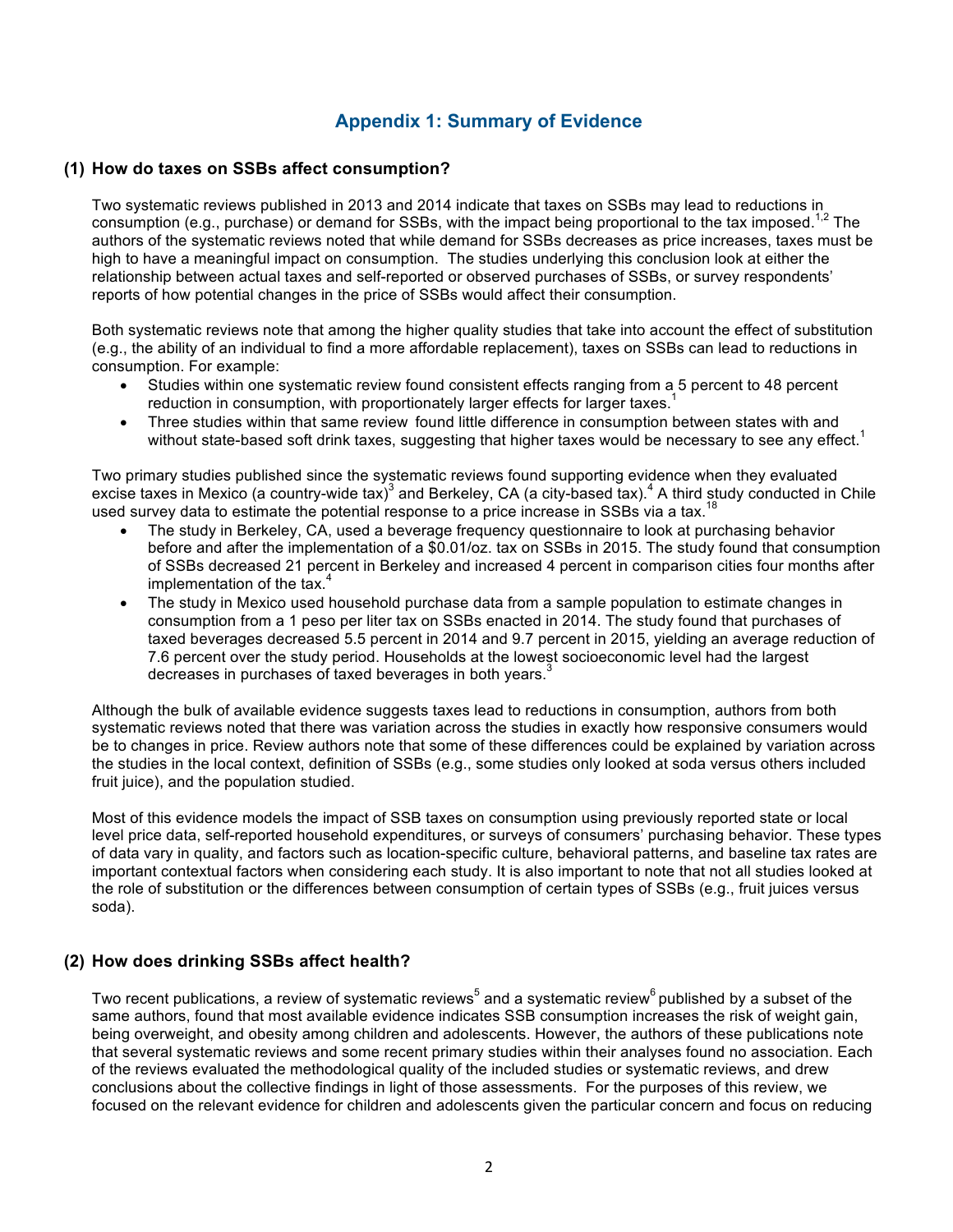## **Appendix 1: Summary of Evidence**

#### **(1) How do taxes on SSBs affect consumption?**

Two systematic reviews published in 2013 and 2014 indicate that taxes on SSBs may lead to reductions in consumption (e.g., purchase) or demand for SSBs, with the impact being proportional to the tax imposed.<sup>1,2</sup> The authors of the systematic reviews noted that while demand for SSBs decreases as price increases, taxes must be high to have a meaningful impact on consumption. The studies underlying this conclusion look at either the relationship between actual taxes and self-reported or observed purchases of SSBs, or survey respondents' reports of how potential changes in the price of SSBs would affect their consumption.

Both systematic reviews note that among the higher quality studies that take into account the effect of substitution (e.g., the ability of an individual to find a more affordable replacement), taxes on SSBs can lead to reductions in consumption. For example:

- Studies within one systematic review found consistent effects ranging from a 5 percent to 48 percent reduction in consumption, with proportionately larger effects for larger taxes.<sup>1</sup>
- Three studies within that same review found little difference in consumption between states with and without state-based soft drink taxes, suggesting that higher taxes would be necessary to see any effect.<sup>1</sup>

Two primary studies published since the systematic reviews found supporting evidence when they evaluated excise taxes in Mexico (a country-wide tax)<sup>3</sup> and Berkeley, CA (a city-based tax).<sup>4</sup> A third study conducted in Chile used survey data to estimate the potential response to a price increase in SSBs via a tax.

- The study in Berkeley, CA, used a beverage frequency questionnaire to look at purchasing behavior before and after the implementation of a \$0.01/oz. tax on SSBs in 2015. The study found that consumption of SSBs decreased 21 percent in Berkeley and increased 4 percent in comparison cities four months after implementation of the tax. $4$
- The study in Mexico used household purchase data from a sample population to estimate changes in consumption from a 1 peso per liter tax on SSBs enacted in 2014. The study found that purchases of taxed beverages decreased 5.5 percent in 2014 and 9.7 percent in 2015, yielding an average reduction of 7.6 percent over the study period. Households at the lowest socioeconomic level had the largest decreases in purchases of taxed beverages in both years.<sup>3</sup>

Although the bulk of available evidence suggests taxes lead to reductions in consumption, authors from both systematic reviews noted that there was variation across the studies in exactly how responsive consumers would be to changes in price. Review authors note that some of these differences could be explained by variation across the studies in the local context, definition of SSBs (e.g., some studies only looked at soda versus others included fruit juice), and the population studied.

Most of this evidence models the impact of SSB taxes on consumption using previously reported state or local level price data, self-reported household expenditures, or surveys of consumers' purchasing behavior. These types of data vary in quality, and factors such as location-specific culture, behavioral patterns, and baseline tax rates are important contextual factors when considering each study. It is also important to note that not all studies looked at the role of substitution or the differences between consumption of certain types of SSBs (e.g., fruit juices versus soda).

#### **(2) How does drinking SSBs affect health?**

Two recent publications, a review of systematic reviews<sup>5</sup> and a systematic review<sup>6</sup> published by a subset of the same authors, found that most available evidence indicates SSB consumption increases the risk of weight gain, being overweight, and obesity among children and adolescents. However, the authors of these publications note that several systematic reviews and some recent primary studies within their analyses found no association. Each of the reviews evaluated the methodological quality of the included studies or systematic reviews, and drew conclusions about the collective findings in light of those assessments. For the purposes of this review, we focused on the relevant evidence for children and adolescents given the particular concern and focus on reducing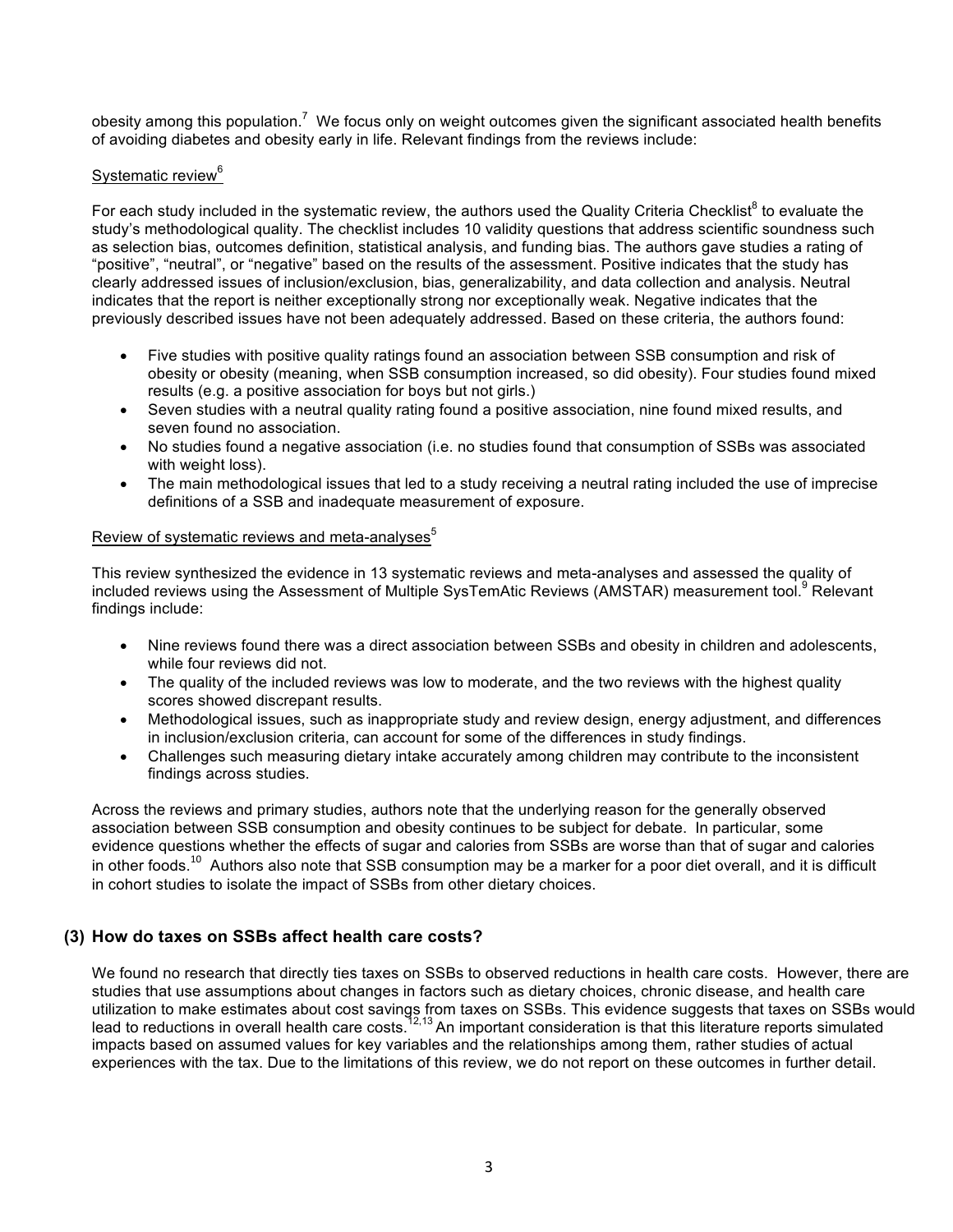obesity among this population.<sup>7</sup> We focus only on weight outcomes given the significant associated health benefits of avoiding diabetes and obesity early in life. Relevant findings from the reviews include:

#### Systematic review<sup>6</sup>

For each study included in the systematic review, the authors used the Quality Criteria Checklist<sup>8</sup> to evaluate the study's methodological quality. The checklist includes 10 validity questions that address scientific soundness such as selection bias, outcomes definition, statistical analysis, and funding bias. The authors gave studies a rating of "positive", "neutral", or "negative" based on the results of the assessment. Positive indicates that the study has clearly addressed issues of inclusion/exclusion, bias, generalizability, and data collection and analysis. Neutral indicates that the report is neither exceptionally strong nor exceptionally weak. Negative indicates that the previously described issues have not been adequately addressed. Based on these criteria, the authors found:

- Five studies with positive quality ratings found an association between SSB consumption and risk of obesity or obesity (meaning, when SSB consumption increased, so did obesity). Four studies found mixed results (e.g. a positive association for boys but not girls.)
- Seven studies with a neutral quality rating found a positive association, nine found mixed results, and seven found no association.
- No studies found a negative association (i.e. no studies found that consumption of SSBs was associated with weight loss).
- The main methodological issues that led to a study receiving a neutral rating included the use of imprecise definitions of a SSB and inadequate measurement of exposure.

#### Review of systematic reviews and meta-analyses $5$

This review synthesized the evidence in 13 systematic reviews and meta-analyses and assessed the quality of included reviews using the Assessment of Multiple SysTemAtic Reviews (AMSTAR) measurement tool.<sup>9</sup> Relevant findings include:

- Nine reviews found there was a direct association between SSBs and obesity in children and adolescents, while four reviews did not.
- The quality of the included reviews was low to moderate, and the two reviews with the highest quality scores showed discrepant results.
- Methodological issues, such as inappropriate study and review design, energy adjustment, and differences in inclusion/exclusion criteria, can account for some of the differences in study findings.
- Challenges such measuring dietary intake accurately among children may contribute to the inconsistent findings across studies.

Across the reviews and primary studies, authors note that the underlying reason for the generally observed association between SSB consumption and obesity continues to be subject for debate. In particular, some evidence questions whether the effects of sugar and calories from SSBs are worse than that of sugar and calories in other foods.<sup>10</sup> Authors also note that SSB consumption may be a marker for a poor diet overall, and it is difficult in cohort studies to isolate the impact of SSBs from other dietary choices.

#### **(3) How do taxes on SSBs affect health care costs?**

We found no research that directly ties taxes on SSBs to observed reductions in health care costs. However, there are studies that use assumptions about changes in factors such as dietary choices, chronic disease, and health care utilization to make estimates about cost savings from taxes on SSBs. This evidence suggests that taxes on SSBs would lead to reductions in overall health care costs.<sup>12,13</sup> An important consideration is that this literature reports simulated impacts based on assumed values for key variables and the relationships among them, rather studies of actual experiences with the tax. Due to the limitations of this review, we do not report on these outcomes in further detail.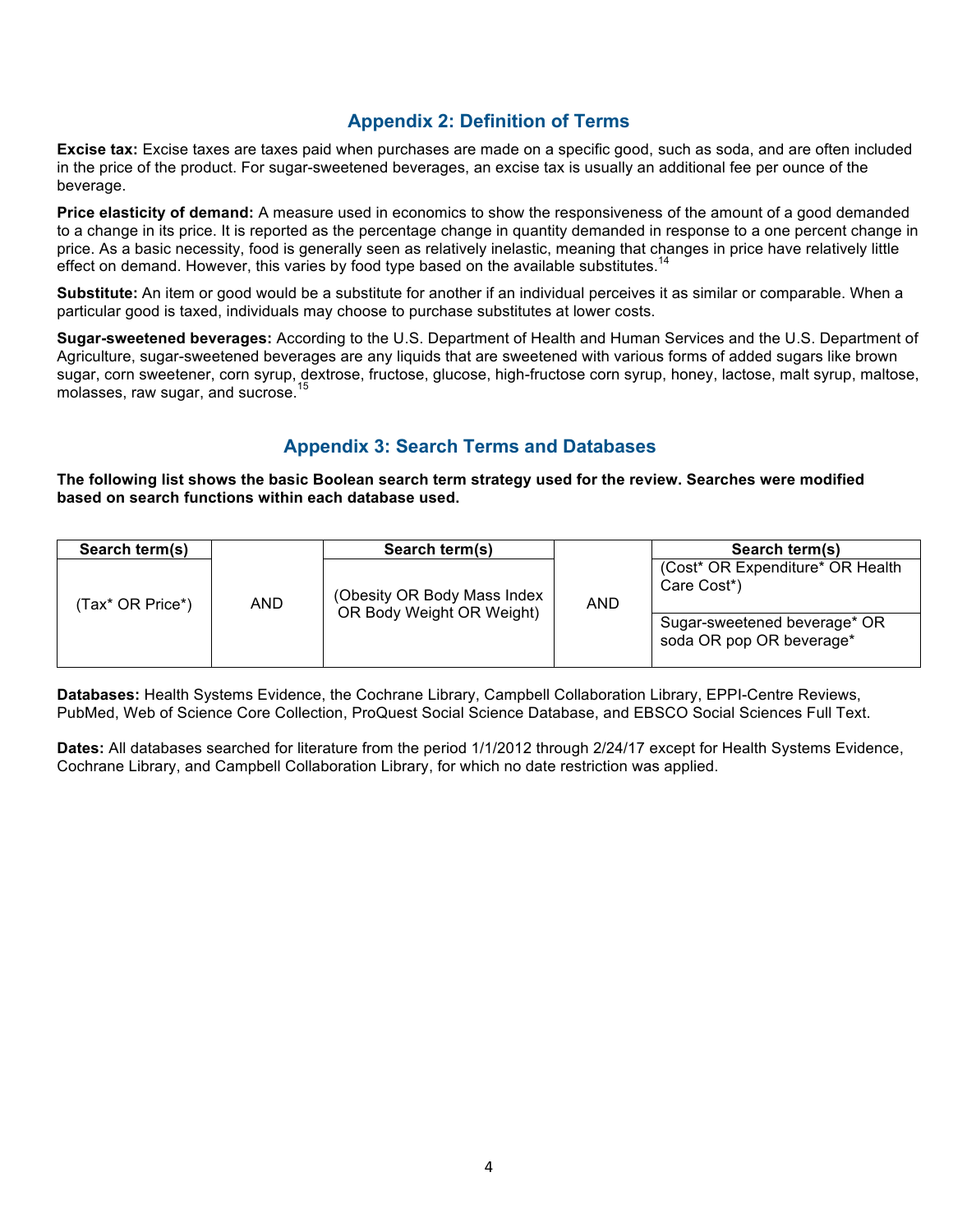## **Appendix 2: Definition of Terms**

**Excise tax:** Excise taxes are taxes paid when purchases are made on a specific good, such as soda, and are often included in the price of the product. For sugar-sweetened beverages, an excise tax is usually an additional fee per ounce of the beverage.

**Price elasticity of demand:** A measure used in economics to show the responsiveness of the amount of a good demanded to a change in its price. It is reported as the percentage change in quantity demanded in response to a one percent change in price. As a basic necessity, food is generally seen as relatively inelastic, meaning that changes in price have relatively little effect on demand. However, this varies by food type based on the available substitutes. $14$ 

**Substitute:** An item or good would be a substitute for another if an individual perceives it as similar or comparable. When a particular good is taxed, individuals may choose to purchase substitutes at lower costs.

**Sugar-sweetened beverages:** According to the U.S. Department of Health and Human Services and the U.S. Department of Agriculture, sugar-sweetened beverages are any liquids that are sweetened with various forms of added sugars like brown sugar, corn sweetener, corn syrup, dextrose, fructose, glucose, high-fructose corn syrup, honey, lactose, malt syrup, maltose, molasses, raw sugar, and sucrose.

## **Appendix 3: Search Terms and Databases**

**The following list shows the basic Boolean search term strategy used for the review. Searches were modified based on search functions within each database used.**

| Search term(s)   |            | Search term(s)                                           |     | Search term(s)                                                                                                            |
|------------------|------------|----------------------------------------------------------|-----|---------------------------------------------------------------------------------------------------------------------------|
| (Tax* OR Price*) | <b>AND</b> | (Obesity OR Body Mass Index<br>OR Body Weight OR Weight) | AND | (Cost* OR Expenditure* OR Health)<br>Care Cost <sup>*</sup> )<br>Sugar-sweetened beverage* OR<br>soda OR pop OR beverage* |

**Databases:** Health Systems Evidence, the Cochrane Library, Campbell Collaboration Library, EPPI-Centre Reviews, PubMed, Web of Science Core Collection, ProQuest Social Science Database, and EBSCO Social Sciences Full Text.

**Dates:** All databases searched for literature from the period 1/1/2012 through 2/24/17 except for Health Systems Evidence, Cochrane Library, and Campbell Collaboration Library, for which no date restriction was applied.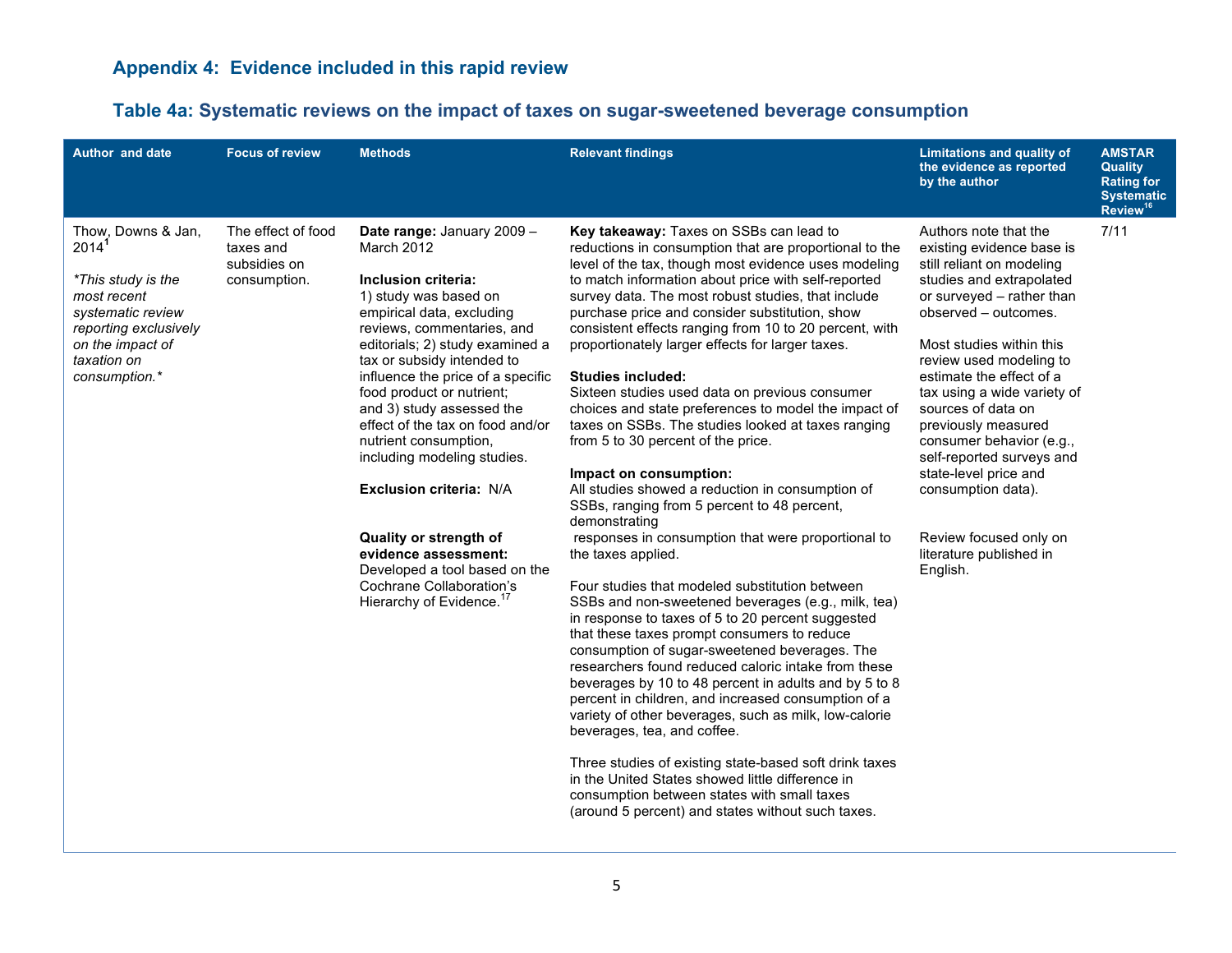## **Table 4a: Systematic reviews on the impact of taxes on sugar-sweetened beverage consumption**

| <b>Author and date</b>                                                                                                                                                         | <b>Focus of review</b>                                          | <b>Methods</b>                                                                                                                                                                                                                                                                                                                                                                                                                                                                                                                                                                                   | <b>Relevant findings</b>                                                                                                                                                                                                                                                                                                                                                                                                                                                                                                                                                                                                                                                                                                                                                                                                                                                                                                                                                                                                                                                                                                                                                                                                                                                                                                                                                                                                                                                                                                                                                                                                                         | <b>Limitations and quality of</b><br>the evidence as reported<br>by the author                                                                                                                                                                                                                                                                                                                                                                                                                           | <b>AMSTAR</b><br><b>Quality</b><br><b>Rating for</b><br><b>Systematic</b><br>Review <sup>16</sup> |
|--------------------------------------------------------------------------------------------------------------------------------------------------------------------------------|-----------------------------------------------------------------|--------------------------------------------------------------------------------------------------------------------------------------------------------------------------------------------------------------------------------------------------------------------------------------------------------------------------------------------------------------------------------------------------------------------------------------------------------------------------------------------------------------------------------------------------------------------------------------------------|--------------------------------------------------------------------------------------------------------------------------------------------------------------------------------------------------------------------------------------------------------------------------------------------------------------------------------------------------------------------------------------------------------------------------------------------------------------------------------------------------------------------------------------------------------------------------------------------------------------------------------------------------------------------------------------------------------------------------------------------------------------------------------------------------------------------------------------------------------------------------------------------------------------------------------------------------------------------------------------------------------------------------------------------------------------------------------------------------------------------------------------------------------------------------------------------------------------------------------------------------------------------------------------------------------------------------------------------------------------------------------------------------------------------------------------------------------------------------------------------------------------------------------------------------------------------------------------------------------------------------------------------------|----------------------------------------------------------------------------------------------------------------------------------------------------------------------------------------------------------------------------------------------------------------------------------------------------------------------------------------------------------------------------------------------------------------------------------------------------------------------------------------------------------|---------------------------------------------------------------------------------------------------|
| Thow, Downs & Jan,<br>2014 <sup>1</sup><br>*This study is the<br>most recent<br>systematic review<br>reporting exclusively<br>on the impact of<br>taxation on<br>consumption.* | The effect of food<br>taxes and<br>subsidies on<br>consumption. | Date range: January 2009 -<br>March 2012<br>Inclusion criteria:<br>1) study was based on<br>empirical data, excluding<br>reviews, commentaries, and<br>editorials; 2) study examined a<br>tax or subsidy intended to<br>influence the price of a specific<br>food product or nutrient;<br>and 3) study assessed the<br>effect of the tax on food and/or<br>nutrient consumption,<br>including modeling studies.<br>Exclusion criteria: N/A<br>Quality or strength of<br>evidence assessment:<br>Developed a tool based on the<br>Cochrane Collaboration's<br>Hierarchy of Evidence. <sup>1</sup> | Key takeaway: Taxes on SSBs can lead to<br>reductions in consumption that are proportional to the<br>level of the tax, though most evidence uses modeling<br>to match information about price with self-reported<br>survey data. The most robust studies, that include<br>purchase price and consider substitution, show<br>consistent effects ranging from 10 to 20 percent, with<br>proportionately larger effects for larger taxes.<br><b>Studies included:</b><br>Sixteen studies used data on previous consumer<br>choices and state preferences to model the impact of<br>taxes on SSBs. The studies looked at taxes ranging<br>from 5 to 30 percent of the price.<br>Impact on consumption:<br>All studies showed a reduction in consumption of<br>SSBs, ranging from 5 percent to 48 percent,<br>demonstrating<br>responses in consumption that were proportional to<br>the taxes applied.<br>Four studies that modeled substitution between<br>SSBs and non-sweetened beverages (e.g., milk, tea)<br>in response to taxes of 5 to 20 percent suggested<br>that these taxes prompt consumers to reduce<br>consumption of sugar-sweetened beverages. The<br>researchers found reduced caloric intake from these<br>beverages by 10 to 48 percent in adults and by 5 to 8<br>percent in children, and increased consumption of a<br>variety of other beverages, such as milk, low-calorie<br>beverages, tea, and coffee.<br>Three studies of existing state-based soft drink taxes<br>in the United States showed little difference in<br>consumption between states with small taxes<br>(around 5 percent) and states without such taxes. | Authors note that the<br>existing evidence base is<br>still reliant on modeling<br>studies and extrapolated<br>or surveyed - rather than<br>observed - outcomes.<br>Most studies within this<br>review used modeling to<br>estimate the effect of a<br>tax using a wide variety of<br>sources of data on<br>previously measured<br>consumer behavior (e.g.,<br>self-reported surveys and<br>state-level price and<br>consumption data).<br>Review focused only on<br>literature published in<br>English. | 7/11                                                                                              |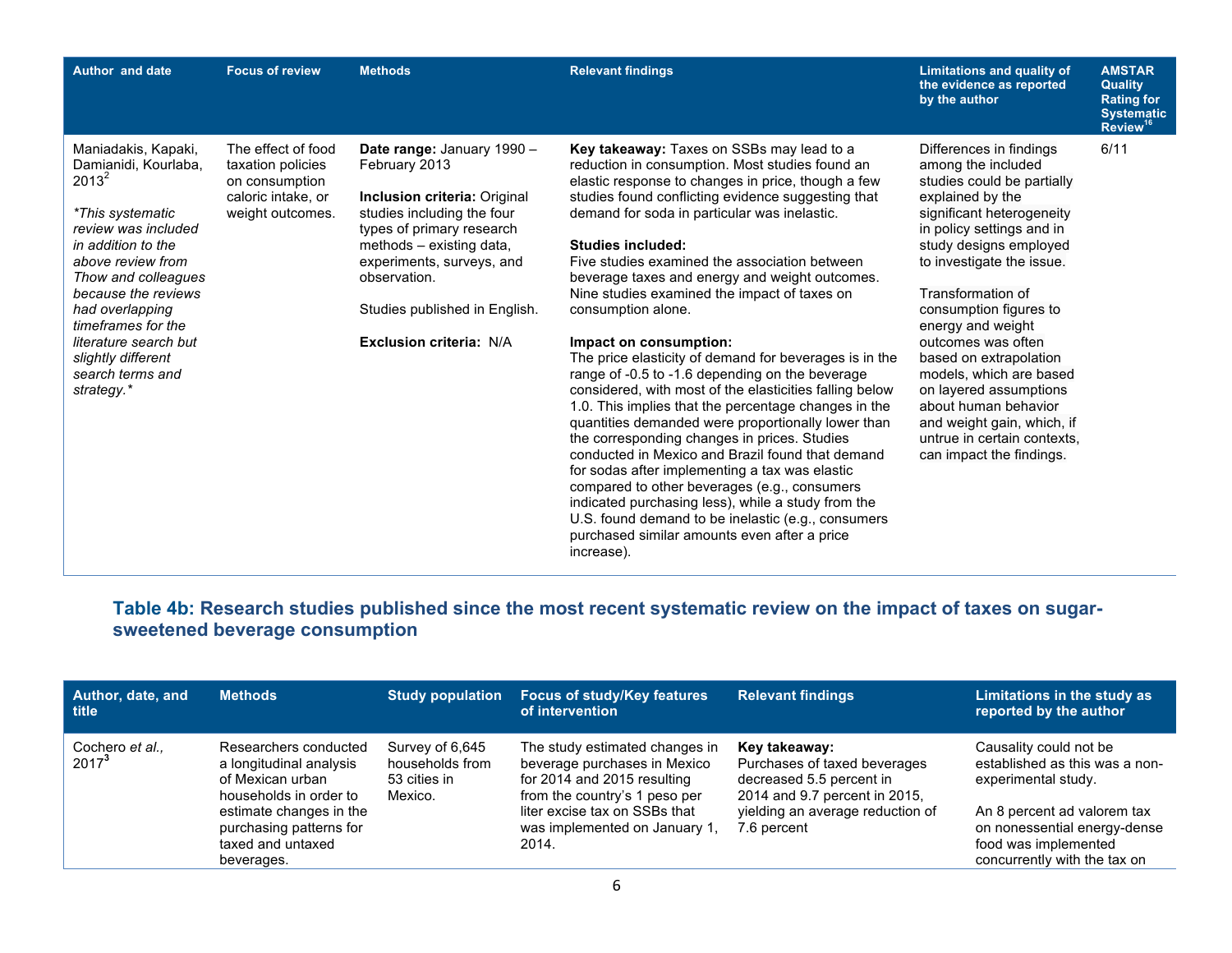| <b>Author and date</b>                                                                                                                                                                                                                                                                                                | <b>Focus of review</b>                                                                              | <b>Methods</b>                                                                                                                                                                                                                                                                     | <b>Relevant findings</b>                                                                                                                                                                                                                                                                                                                                                                                                                                                                                                                                                                                                                                                                                                                                                                                                                                                                                                                                                                                                                                                                                                                                      | <b>Limitations and quality of</b><br>the evidence as reported<br>by the author                                                                                                                                                                                                                                                                                                                                                                                                                             | <b>AMSTAR</b><br>Quality<br><b>Rating for</b><br><b>Systematic</b><br>Review <sup>16</sup> |
|-----------------------------------------------------------------------------------------------------------------------------------------------------------------------------------------------------------------------------------------------------------------------------------------------------------------------|-----------------------------------------------------------------------------------------------------|------------------------------------------------------------------------------------------------------------------------------------------------------------------------------------------------------------------------------------------------------------------------------------|---------------------------------------------------------------------------------------------------------------------------------------------------------------------------------------------------------------------------------------------------------------------------------------------------------------------------------------------------------------------------------------------------------------------------------------------------------------------------------------------------------------------------------------------------------------------------------------------------------------------------------------------------------------------------------------------------------------------------------------------------------------------------------------------------------------------------------------------------------------------------------------------------------------------------------------------------------------------------------------------------------------------------------------------------------------------------------------------------------------------------------------------------------------|------------------------------------------------------------------------------------------------------------------------------------------------------------------------------------------------------------------------------------------------------------------------------------------------------------------------------------------------------------------------------------------------------------------------------------------------------------------------------------------------------------|--------------------------------------------------------------------------------------------|
| Maniadakis, Kapaki,<br>Damianidi, Kourlaba,<br>$2013^2$<br>*This systematic<br>review was included<br>in addition to the<br>above review from<br>Thow and colleagues<br>because the reviews<br>had overlapping<br>timeframes for the<br>literature search but<br>slightly different<br>search terms and<br>strategy.* | The effect of food<br>taxation policies<br>on consumption<br>caloric intake, or<br>weight outcomes. | Date range: January 1990 -<br>February 2013<br><b>Inclusion criteria: Original</b><br>studies including the four<br>types of primary research<br>methods - existing data,<br>experiments, surveys, and<br>observation.<br>Studies published in English.<br>Exclusion criteria: N/A | Key takeaway: Taxes on SSBs may lead to a<br>reduction in consumption. Most studies found an<br>elastic response to changes in price, though a few<br>studies found conflicting evidence suggesting that<br>demand for soda in particular was inelastic.<br><b>Studies included:</b><br>Five studies examined the association between<br>beverage taxes and energy and weight outcomes.<br>Nine studies examined the impact of taxes on<br>consumption alone.<br>Impact on consumption:<br>The price elasticity of demand for beverages is in the<br>range of -0.5 to -1.6 depending on the beverage<br>considered, with most of the elasticities falling below<br>1.0. This implies that the percentage changes in the<br>quantities demanded were proportionally lower than<br>the corresponding changes in prices. Studies<br>conducted in Mexico and Brazil found that demand<br>for sodas after implementing a tax was elastic<br>compared to other beverages (e.g., consumers<br>indicated purchasing less), while a study from the<br>U.S. found demand to be inelastic (e.g., consumers<br>purchased similar amounts even after a price<br>increase). | Differences in findings<br>among the included<br>studies could be partially<br>explained by the<br>significant heterogeneity<br>in policy settings and in<br>study designs employed<br>to investigate the issue.<br>Transformation of<br>consumption figures to<br>energy and weight<br>outcomes was often<br>based on extrapolation<br>models, which are based<br>on layered assumptions<br>about human behavior<br>and weight gain, which, if<br>untrue in certain contexts.<br>can impact the findings. | 6/11                                                                                       |

## **Table 4b: Research studies published since the most recent systematic review on the impact of taxes on sugarsweetened beverage consumption**

| Author, date, and<br>l title | <b>Methods</b>                                                                                                            | <b>Study population</b>                                       | <b>Focus of study/Key features</b><br>of intervention                                                                                                           | <b>Relevant findings</b>                                                                                                                       | Limitations in the study as<br>reported by the author                                                          |
|------------------------------|---------------------------------------------------------------------------------------------------------------------------|---------------------------------------------------------------|-----------------------------------------------------------------------------------------------------------------------------------------------------------------|------------------------------------------------------------------------------------------------------------------------------------------------|----------------------------------------------------------------------------------------------------------------|
| Cochero et al.,<br>$2017^3$  | Researchers conducted<br>a longitudinal analysis<br>of Mexican urban<br>households in order to<br>estimate changes in the | Survey of 6,645<br>households from<br>53 cities in<br>Mexico. | The study estimated changes in<br>beverage purchases in Mexico<br>for 2014 and 2015 resulting<br>from the country's 1 peso per<br>liter excise tax on SSBs that | Key takeaway:<br>Purchases of taxed beverages<br>decreased 5.5 percent in<br>2014 and 9.7 percent in 2015,<br>yielding an average reduction of | Causality could not be<br>established as this was a non-<br>experimental study.<br>An 8 percent ad valorem tax |
|                              | purchasing patterns for<br>taxed and untaxed<br>beverages.                                                                |                                                               | was implemented on January 1,<br>2014.                                                                                                                          | 7.6 percent                                                                                                                                    | on nonessential energy-dense<br>food was implemented<br>concurrently with the tax on                           |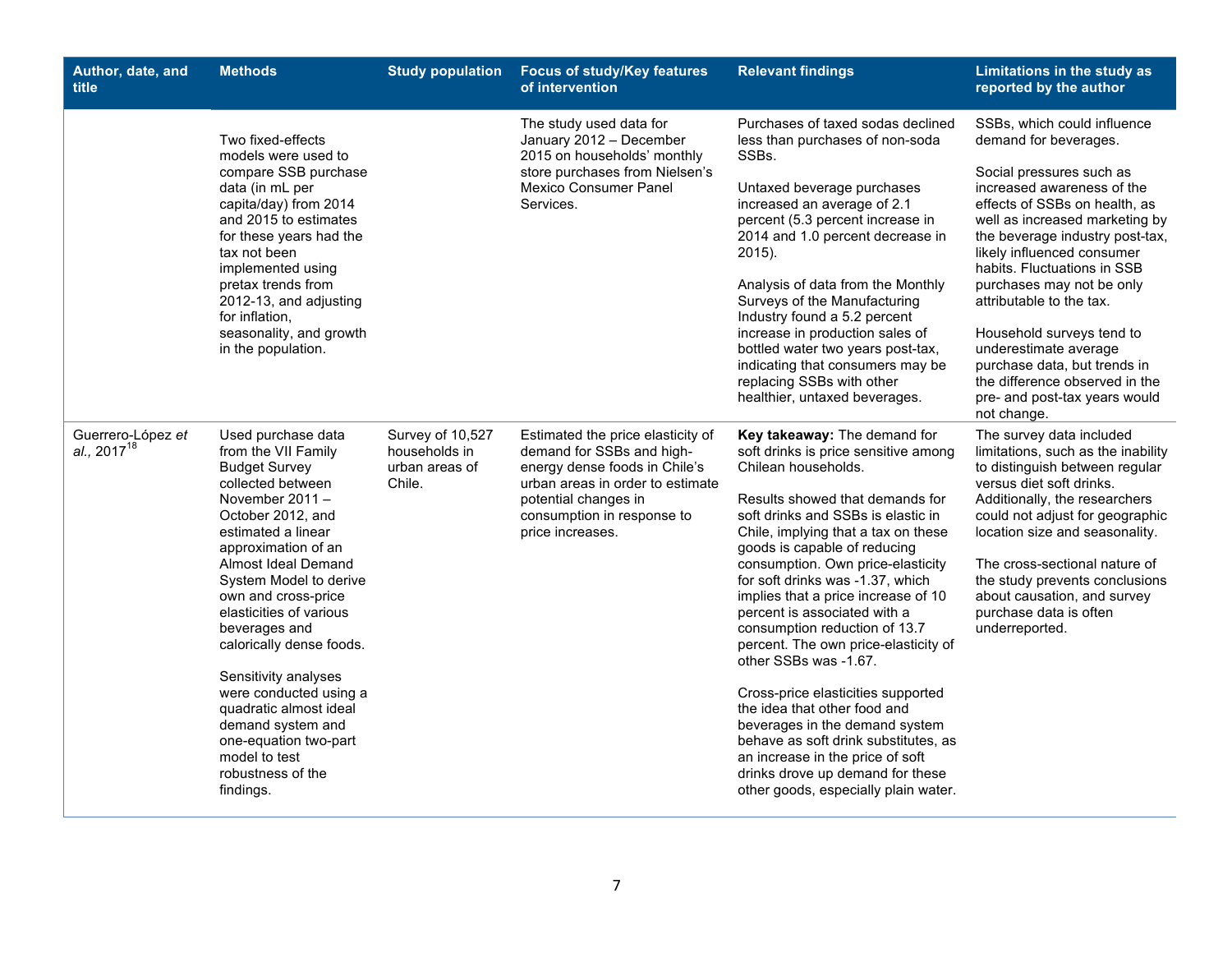| Author, date, and<br>title            | <b>Methods</b>                                                                                                                                                                                                                                                                                                                                                                                                                                                                                             | <b>Study population</b>                                       | <b>Focus of study/Key features</b><br>of intervention                                                                                                                                                         | <b>Relevant findings</b>                                                                                                                                                                                                                                                                                                                                                                                                                                                                                                                                                                                                                                                                                                                                      | Limitations in the study as<br>reported by the author                                                                                                                                                                                                                                                                                                                                                                                                                                                              |
|---------------------------------------|------------------------------------------------------------------------------------------------------------------------------------------------------------------------------------------------------------------------------------------------------------------------------------------------------------------------------------------------------------------------------------------------------------------------------------------------------------------------------------------------------------|---------------------------------------------------------------|---------------------------------------------------------------------------------------------------------------------------------------------------------------------------------------------------------------|---------------------------------------------------------------------------------------------------------------------------------------------------------------------------------------------------------------------------------------------------------------------------------------------------------------------------------------------------------------------------------------------------------------------------------------------------------------------------------------------------------------------------------------------------------------------------------------------------------------------------------------------------------------------------------------------------------------------------------------------------------------|--------------------------------------------------------------------------------------------------------------------------------------------------------------------------------------------------------------------------------------------------------------------------------------------------------------------------------------------------------------------------------------------------------------------------------------------------------------------------------------------------------------------|
|                                       | Two fixed-effects<br>models were used to<br>compare SSB purchase<br>data (in mL per<br>capita/day) from 2014<br>and 2015 to estimates<br>for these years had the<br>tax not been<br>implemented using<br>pretax trends from<br>2012-13, and adjusting<br>for inflation.<br>seasonality, and growth<br>in the population.                                                                                                                                                                                   |                                                               | The study used data for<br>January 2012 - December<br>2015 on households' monthly<br>store purchases from Nielsen's<br>Mexico Consumer Panel<br>Services.                                                     | Purchases of taxed sodas declined<br>less than purchases of non-soda<br>SSBs.<br>Untaxed beverage purchases<br>increased an average of 2.1<br>percent (5.3 percent increase in<br>2014 and 1.0 percent decrease in<br>2015).<br>Analysis of data from the Monthly<br>Surveys of the Manufacturing<br>Industry found a 5.2 percent<br>increase in production sales of<br>bottled water two years post-tax,<br>indicating that consumers may be<br>replacing SSBs with other<br>healthier, untaxed beverages.                                                                                                                                                                                                                                                   | SSBs, which could influence<br>demand for beverages.<br>Social pressures such as<br>increased awareness of the<br>effects of SSBs on health, as<br>well as increased marketing by<br>the beverage industry post-tax,<br>likely influenced consumer<br>habits. Fluctuations in SSB<br>purchases may not be only<br>attributable to the tax.<br>Household surveys tend to<br>underestimate average<br>purchase data, but trends in<br>the difference observed in the<br>pre- and post-tax years would<br>not change. |
| Guerrero-López et<br>al., $2017^{18}$ | Used purchase data<br>from the VII Family<br><b>Budget Survey</b><br>collected between<br>November $2011 -$<br>October 2012, and<br>estimated a linear<br>approximation of an<br>Almost Ideal Demand<br>System Model to derive<br>own and cross-price<br>elasticities of various<br>beverages and<br>calorically dense foods.<br>Sensitivity analyses<br>were conducted using a<br>quadratic almost ideal<br>demand system and<br>one-equation two-part<br>model to test<br>robustness of the<br>findings. | Survey of 10,527<br>households in<br>urban areas of<br>Chile. | Estimated the price elasticity of<br>demand for SSBs and high-<br>energy dense foods in Chile's<br>urban areas in order to estimate<br>potential changes in<br>consumption in response to<br>price increases. | Key takeaway: The demand for<br>soft drinks is price sensitive among<br>Chilean households.<br>Results showed that demands for<br>soft drinks and SSBs is elastic in<br>Chile, implying that a tax on these<br>goods is capable of reducing<br>consumption. Own price-elasticity<br>for soft drinks was -1.37, which<br>implies that a price increase of 10<br>percent is associated with a<br>consumption reduction of 13.7<br>percent. The own price-elasticity of<br>other SSBs was -1.67.<br>Cross-price elasticities supported<br>the idea that other food and<br>beverages in the demand system<br>behave as soft drink substitutes, as<br>an increase in the price of soft<br>drinks drove up demand for these<br>other goods, especially plain water. | The survey data included<br>limitations, such as the inability<br>to distinguish between regular<br>versus diet soft drinks.<br>Additionally, the researchers<br>could not adjust for geographic<br>location size and seasonality.<br>The cross-sectional nature of<br>the study prevents conclusions<br>about causation, and survey<br>purchase data is often<br>underreported.                                                                                                                                   |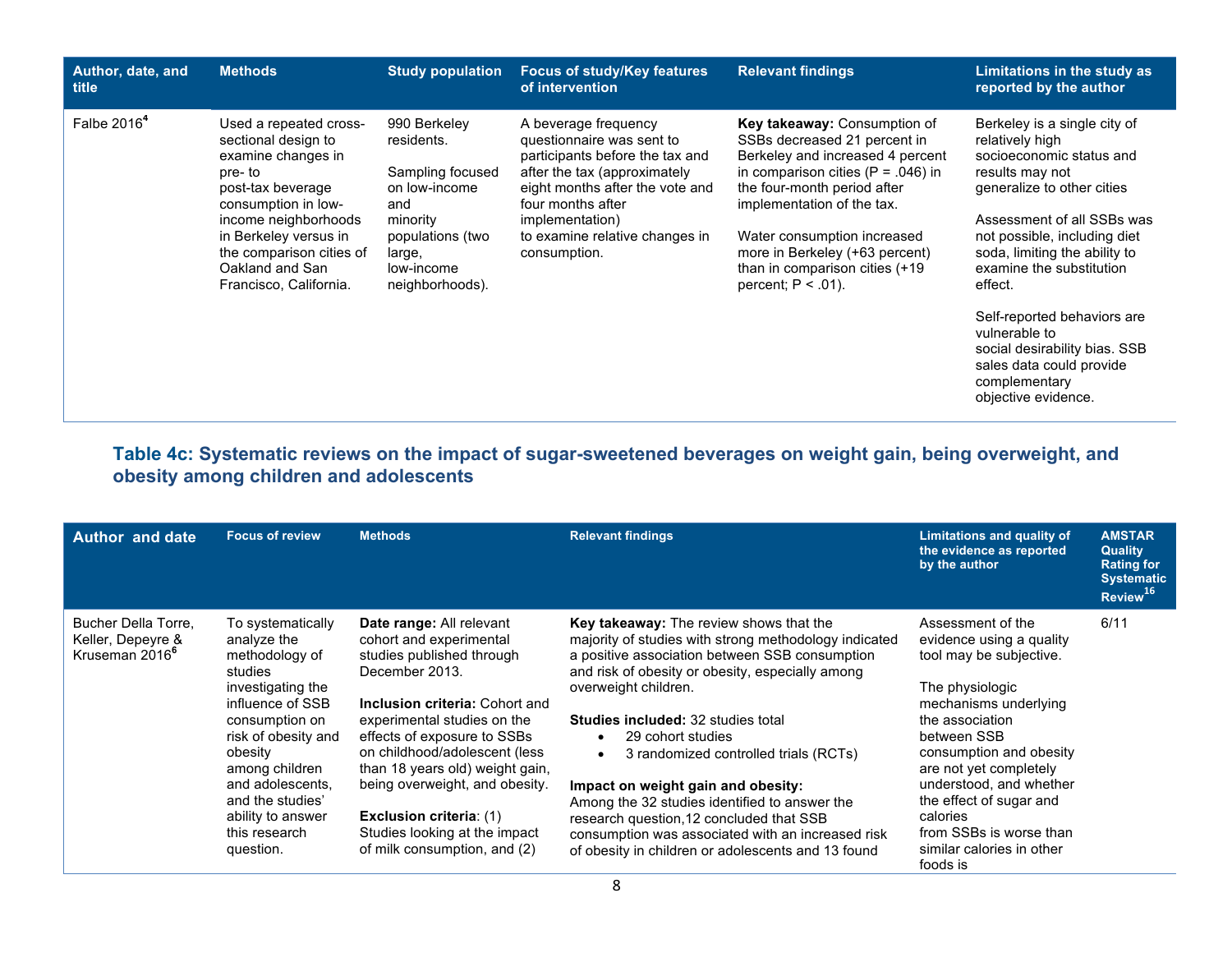| Author, date, and<br><b>title</b> | <b>Methods</b>                                                                                                                                                                                                                                      | <b>Study population</b>                                                                                                                           | <b>Focus of study/Key features</b><br>of intervention                                                                                                                                                                                             | <b>Relevant findings</b>                                                                                                                                                                                                                                                                                                             | Limitations in the study as<br>reported by the author                                                                                                                                                                                                                                                                                                                                                                   |
|-----------------------------------|-----------------------------------------------------------------------------------------------------------------------------------------------------------------------------------------------------------------------------------------------------|---------------------------------------------------------------------------------------------------------------------------------------------------|---------------------------------------------------------------------------------------------------------------------------------------------------------------------------------------------------------------------------------------------------|--------------------------------------------------------------------------------------------------------------------------------------------------------------------------------------------------------------------------------------------------------------------------------------------------------------------------------------|-------------------------------------------------------------------------------------------------------------------------------------------------------------------------------------------------------------------------------------------------------------------------------------------------------------------------------------------------------------------------------------------------------------------------|
| Falbe 2016 <sup>4</sup>           | Used a repeated cross-<br>sectional design to<br>examine changes in<br>pre-to<br>post-tax beverage<br>consumption in low-<br>income neighborhoods<br>in Berkeley versus in<br>the comparison cities of<br>Oakland and San<br>Francisco, California. | 990 Berkeley<br>residents.<br>Sampling focused<br>on low-income<br>and<br>minority<br>populations (two<br>large,<br>low-income<br>neighborhoods). | A beverage frequency<br>questionnaire was sent to<br>participants before the tax and<br>after the tax (approximately<br>eight months after the vote and<br>four months after<br>implementation)<br>to examine relative changes in<br>consumption. | Key takeaway: Consumption of<br>SSBs decreased 21 percent in<br>Berkeley and increased 4 percent<br>in comparison cities ( $P = .046$ ) in<br>the four-month period after<br>implementation of the tax.<br>Water consumption increased<br>more in Berkeley (+63 percent)<br>than in comparison cities (+19)<br>percent; $P < .01$ ). | Berkeley is a single city of<br>relatively high<br>socioeconomic status and<br>results may not<br>generalize to other cities<br>Assessment of all SSBs was<br>not possible, including diet<br>soda, limiting the ability to<br>examine the substitution<br>effect.<br>Self-reported behaviors are<br>vulnerable to<br>social desirability bias. SSB<br>sales data could provide<br>complementary<br>objective evidence. |

## **Table 4c: Systematic reviews on the impact of sugar-sweetened beverages on weight gain, being overweight, and obesity among children and adolescents**

| <b>Author and date</b>                                                 | <b>Focus of review</b>                                                                                                                                                                                                                                                  | <b>Methods</b>                                                                                                                                                                                                                                                                                                                                                                                              | <b>Relevant findings</b>                                                                                                                                                                                                                                                                                                                                                                                                                                                                                                                                                                | Limitations and quality of<br>the evidence as reported<br>by the author                                                                                                                                                                                                                                                                           | <b>AMSTAR</b><br><b>Quality</b><br><b>Rating for</b><br><b>Systematic</b><br>Review <sup>16</sup> |
|------------------------------------------------------------------------|-------------------------------------------------------------------------------------------------------------------------------------------------------------------------------------------------------------------------------------------------------------------------|-------------------------------------------------------------------------------------------------------------------------------------------------------------------------------------------------------------------------------------------------------------------------------------------------------------------------------------------------------------------------------------------------------------|-----------------------------------------------------------------------------------------------------------------------------------------------------------------------------------------------------------------------------------------------------------------------------------------------------------------------------------------------------------------------------------------------------------------------------------------------------------------------------------------------------------------------------------------------------------------------------------------|---------------------------------------------------------------------------------------------------------------------------------------------------------------------------------------------------------------------------------------------------------------------------------------------------------------------------------------------------|---------------------------------------------------------------------------------------------------|
| Bucher Della Torre.<br>Keller, Depeyre &<br>Kruseman 2016 <sup>6</sup> | To systematically<br>analyze the<br>methodology of<br>studies<br>investigating the<br>influence of SSB<br>consumption on<br>risk of obesity and<br>obesity<br>among children<br>and adolescents,<br>and the studies'<br>ability to answer<br>this research<br>question. | Date range: All relevant<br>cohort and experimental<br>studies published through<br>December 2013.<br>Inclusion criteria: Cohort and<br>experimental studies on the<br>effects of exposure to SSBs<br>on childhood/adolescent (less<br>than 18 years old) weight gain,<br>being overweight, and obesity.<br><b>Exclusion criteria: (1)</b><br>Studies looking at the impact<br>of milk consumption, and (2) | Key takeaway: The review shows that the<br>majority of studies with strong methodology indicated<br>a positive association between SSB consumption<br>and risk of obesity or obesity, especially among<br>overweight children.<br><b>Studies included: 32 studies total</b><br>29 cohort studies<br>3 randomized controlled trials (RCTs)<br>Impact on weight gain and obesity:<br>Among the 32 studies identified to answer the<br>research question, 12 concluded that SSB<br>consumption was associated with an increased risk<br>of obesity in children or adolescents and 13 found | Assessment of the<br>evidence using a quality<br>tool may be subjective.<br>The physiologic<br>mechanisms underlying<br>the association<br>between SSB<br>consumption and obesity<br>are not yet completely<br>understood, and whether<br>the effect of sugar and<br>calories<br>from SSBs is worse than<br>similar calories in other<br>foods is | 6/11                                                                                              |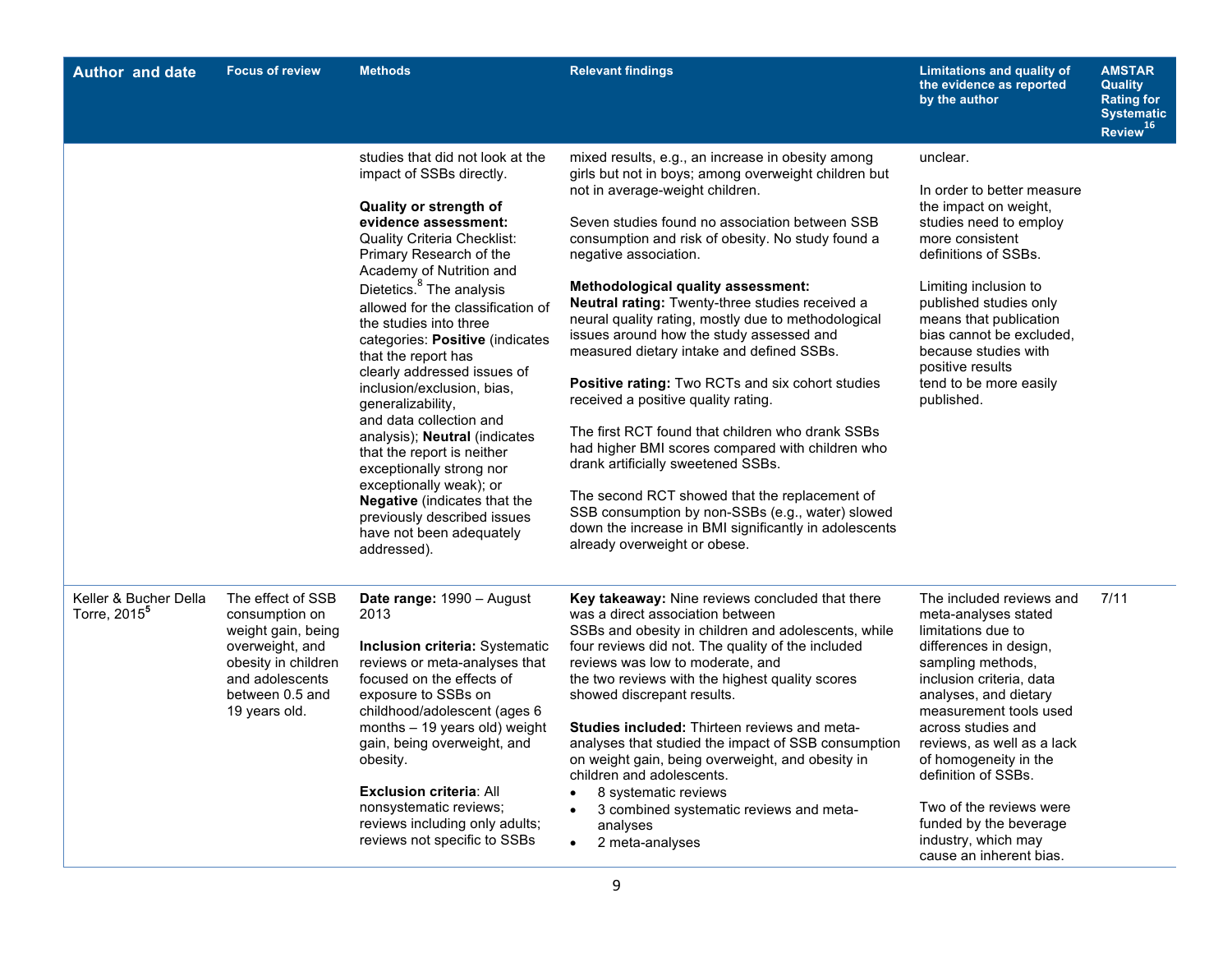| <b>Author and date</b>                            | <b>Focus of review</b>                                                                                                                                     | <b>Methods</b>                                                                                                                                                                                                                                                                                                                                                                                                                                                                                                                                                                                                                                                                                                                          | <b>Relevant findings</b>                                                                                                                                                                                                                                                                                                                                                                                                                                                                                                                                                                                                                                                                                                                                                                                                                                                                                                                                            | <b>Limitations and quality of</b><br>the evidence as reported<br>by the author                                                                                                                                                                                                                                                                                                                                  | <b>AMSTAR</b><br><b>Quality</b><br><b>Rating for</b><br><b>Systematic</b><br>Review <sup>16</sup> |
|---------------------------------------------------|------------------------------------------------------------------------------------------------------------------------------------------------------------|-----------------------------------------------------------------------------------------------------------------------------------------------------------------------------------------------------------------------------------------------------------------------------------------------------------------------------------------------------------------------------------------------------------------------------------------------------------------------------------------------------------------------------------------------------------------------------------------------------------------------------------------------------------------------------------------------------------------------------------------|---------------------------------------------------------------------------------------------------------------------------------------------------------------------------------------------------------------------------------------------------------------------------------------------------------------------------------------------------------------------------------------------------------------------------------------------------------------------------------------------------------------------------------------------------------------------------------------------------------------------------------------------------------------------------------------------------------------------------------------------------------------------------------------------------------------------------------------------------------------------------------------------------------------------------------------------------------------------|-----------------------------------------------------------------------------------------------------------------------------------------------------------------------------------------------------------------------------------------------------------------------------------------------------------------------------------------------------------------------------------------------------------------|---------------------------------------------------------------------------------------------------|
|                                                   |                                                                                                                                                            | studies that did not look at the<br>impact of SSBs directly.<br><b>Quality or strength of</b><br>evidence assessment:<br><b>Quality Criteria Checklist:</b><br>Primary Research of the<br>Academy of Nutrition and<br>Dietetics. <sup>8</sup> The analysis<br>allowed for the classification of<br>the studies into three<br>categories: Positive (indicates<br>that the report has<br>clearly addressed issues of<br>inclusion/exclusion, bias,<br>generalizability,<br>and data collection and<br>analysis); Neutral (indicates<br>that the report is neither<br>exceptionally strong nor<br>exceptionally weak); or<br><b>Negative</b> (indicates that the<br>previously described issues<br>have not been adequately<br>addressed). | mixed results, e.g., an increase in obesity among<br>girls but not in boys; among overweight children but<br>not in average-weight children.<br>Seven studies found no association between SSB<br>consumption and risk of obesity. No study found a<br>negative association.<br><b>Methodological quality assessment:</b><br>Neutral rating: Twenty-three studies received a<br>neural quality rating, mostly due to methodological<br>issues around how the study assessed and<br>measured dietary intake and defined SSBs.<br>Positive rating: Two RCTs and six cohort studies<br>received a positive quality rating.<br>The first RCT found that children who drank SSBs<br>had higher BMI scores compared with children who<br>drank artificially sweetened SSBs.<br>The second RCT showed that the replacement of<br>SSB consumption by non-SSBs (e.g., water) slowed<br>down the increase in BMI significantly in adolescents<br>already overweight or obese. | unclear.<br>In order to better measure<br>the impact on weight,<br>studies need to employ<br>more consistent<br>definitions of SSBs.<br>Limiting inclusion to<br>published studies only<br>means that publication<br>bias cannot be excluded,<br>because studies with<br>positive results<br>tend to be more easily<br>published.                                                                               |                                                                                                   |
| Keller & Bucher Della<br>Torre, 2015 <sup>5</sup> | The effect of SSB<br>consumption on<br>weight gain, being<br>overweight, and<br>obesity in children<br>and adolescents<br>between 0.5 and<br>19 years old. | Date range: 1990 - August<br>2013<br><b>Inclusion criteria: Systematic</b><br>reviews or meta-analyses that<br>focused on the effects of<br>exposure to SSBs on<br>childhood/adolescent (ages 6<br>months - 19 years old) weight<br>gain, being overweight, and<br>obesity.<br><b>Exclusion criteria: All</b><br>nonsystematic reviews;<br>reviews including only adults;<br>reviews not specific to SSBs                                                                                                                                                                                                                                                                                                                               | Key takeaway: Nine reviews concluded that there<br>was a direct association between<br>SSBs and obesity in children and adolescents, while<br>four reviews did not. The quality of the included<br>reviews was low to moderate, and<br>the two reviews with the highest quality scores<br>showed discrepant results.<br><b>Studies included: Thirteen reviews and meta-</b><br>analyses that studied the impact of SSB consumption<br>on weight gain, being overweight, and obesity in<br>children and adolescents.<br>8 systematic reviews<br>3 combined systematic reviews and meta-<br>analyses<br>2 meta-analyses<br>$\bullet$                                                                                                                                                                                                                                                                                                                                  | The included reviews and<br>meta-analyses stated<br>limitations due to<br>differences in design,<br>sampling methods,<br>inclusion criteria, data<br>analyses, and dietary<br>measurement tools used<br>across studies and<br>reviews, as well as a lack<br>of homogeneity in the<br>definition of SSBs.<br>Two of the reviews were<br>funded by the beverage<br>industry, which may<br>cause an inherent bias. | 7/11                                                                                              |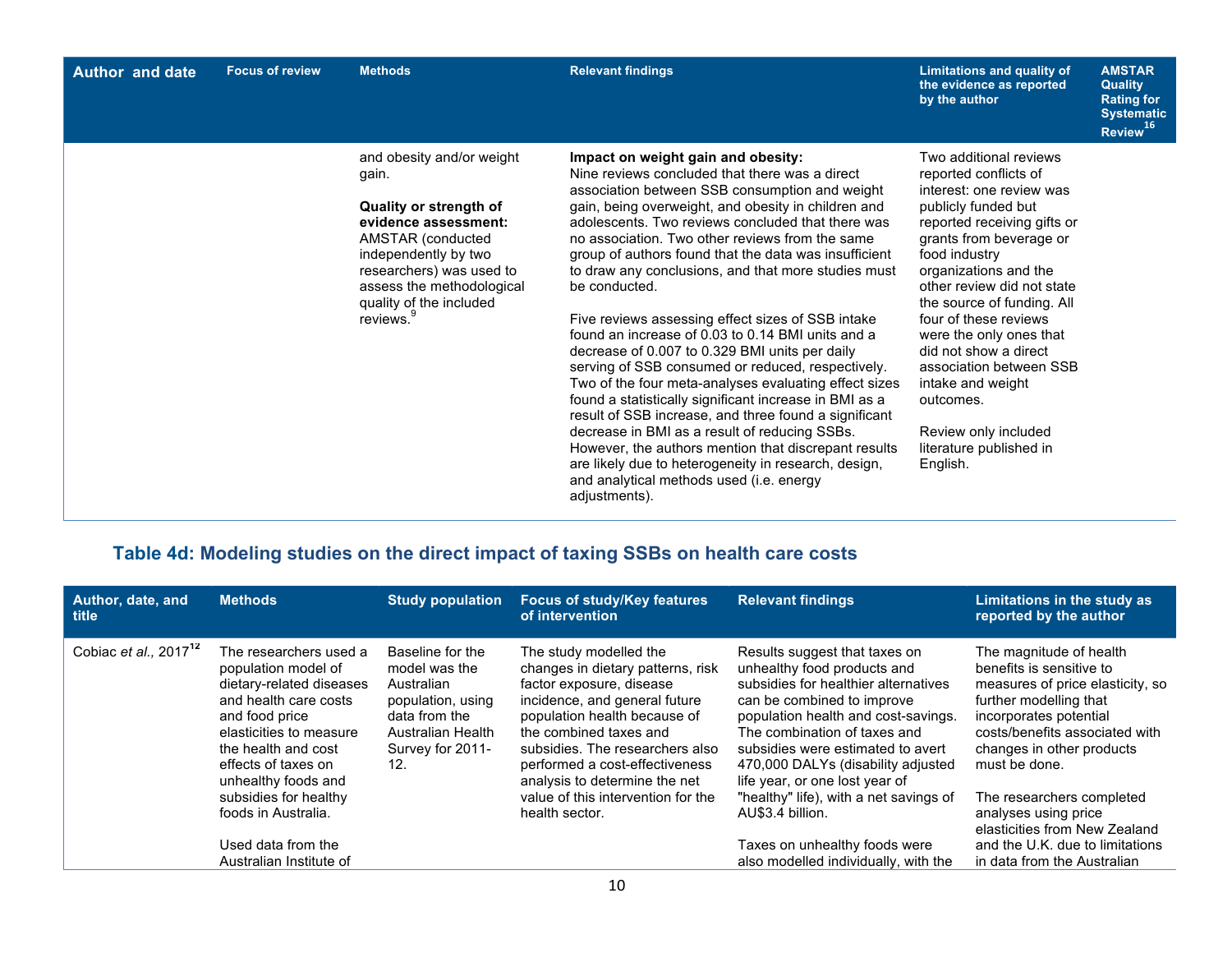| <b>Author and date</b> | <b>Focus of review</b> | <b>Methods</b>                                                                                                                                                                                                                                 | <b>Relevant findings</b>                                                                                                                                                                                                                                                                                                                                                                                                                                                                                                                                                                                                                                                                                                                                                                                                                                                                                                                                                                                                                                          | Limitations and quality of<br>the evidence as reported<br>by the author                                                                                                                                                                                                                                                                                                                                                                                                     | <b>AMSTAR</b><br><b>Quality</b><br><b>Rating for</b><br><b>Systematic</b><br>Review <sup>16</sup> |
|------------------------|------------------------|------------------------------------------------------------------------------------------------------------------------------------------------------------------------------------------------------------------------------------------------|-------------------------------------------------------------------------------------------------------------------------------------------------------------------------------------------------------------------------------------------------------------------------------------------------------------------------------------------------------------------------------------------------------------------------------------------------------------------------------------------------------------------------------------------------------------------------------------------------------------------------------------------------------------------------------------------------------------------------------------------------------------------------------------------------------------------------------------------------------------------------------------------------------------------------------------------------------------------------------------------------------------------------------------------------------------------|-----------------------------------------------------------------------------------------------------------------------------------------------------------------------------------------------------------------------------------------------------------------------------------------------------------------------------------------------------------------------------------------------------------------------------------------------------------------------------|---------------------------------------------------------------------------------------------------|
|                        |                        | and obesity and/or weight<br>gain.<br>Quality or strength of<br>evidence assessment:<br>AMSTAR (conducted<br>independently by two<br>researchers) was used to<br>assess the methodological<br>quality of the included<br>reviews. <sup>9</sup> | Impact on weight gain and obesity:<br>Nine reviews concluded that there was a direct<br>association between SSB consumption and weight<br>gain, being overweight, and obesity in children and<br>adolescents. Two reviews concluded that there was<br>no association. Two other reviews from the same<br>group of authors found that the data was insufficient<br>to draw any conclusions, and that more studies must<br>be conducted.<br>Five reviews assessing effect sizes of SSB intake<br>found an increase of 0.03 to 0.14 BMI units and a<br>decrease of 0.007 to 0.329 BMI units per daily<br>serving of SSB consumed or reduced, respectively.<br>Two of the four meta-analyses evaluating effect sizes<br>found a statistically significant increase in BMI as a<br>result of SSB increase, and three found a significant<br>decrease in BMI as a result of reducing SSBs.<br>However, the authors mention that discrepant results<br>are likely due to heterogeneity in research, design,<br>and analytical methods used (i.e. energy<br>adjustments). | Two additional reviews<br>reported conflicts of<br>interest: one review was<br>publicly funded but<br>reported receiving gifts or<br>grants from beverage or<br>food industry<br>organizations and the<br>other review did not state<br>the source of funding. All<br>four of these reviews<br>were the only ones that<br>did not show a direct<br>association between SSB<br>intake and weight<br>outcomes.<br>Review only included<br>literature published in<br>English. |                                                                                                   |

## **Table 4d: Modeling studies on the direct impact of taxing SSBs on health care costs**

|                                                                                                                                                                                                                      |                                                                                                                                       | of intervention                                                                                                                                                                                                                                                                          |                                                                                                                                                                                                                                                                                                                        | Limitations in the study as<br>reported by the author                                                                                                                                                                       |
|----------------------------------------------------------------------------------------------------------------------------------------------------------------------------------------------------------------------|---------------------------------------------------------------------------------------------------------------------------------------|------------------------------------------------------------------------------------------------------------------------------------------------------------------------------------------------------------------------------------------------------------------------------------------|------------------------------------------------------------------------------------------------------------------------------------------------------------------------------------------------------------------------------------------------------------------------------------------------------------------------|-----------------------------------------------------------------------------------------------------------------------------------------------------------------------------------------------------------------------------|
| The researchers used a<br>population model of<br>dietary-related diseases<br>and health care costs<br>and food price<br>elasticities to measure<br>the health and cost<br>effects of taxes on<br>unhealthy foods and | Baseline for the<br>model was the<br>Australian<br>population, using<br>data from the<br>Australian Health<br>Survey for 2011-<br>12. | The study modelled the<br>changes in dietary patterns, risk<br>factor exposure, disease<br>incidence, and general future<br>population health because of<br>the combined taxes and<br>subsidies. The researchers also<br>performed a cost-effectiveness<br>analysis to determine the net | Results suggest that taxes on<br>unhealthy food products and<br>subsidies for healthier alternatives<br>can be combined to improve<br>population health and cost-savings.<br>The combination of taxes and<br>subsidies were estimated to avert<br>470,000 DALYs (disability adjusted<br>life year, or one lost year of | The magnitude of health<br>benefits is sensitive to<br>measures of price elasticity, so<br>further modelling that<br>incorporates potential<br>costs/benefits associated with<br>changes in other products<br>must be done. |
| subsidies for healthy<br>foods in Australia.                                                                                                                                                                         |                                                                                                                                       | value of this intervention for the<br>health sector.                                                                                                                                                                                                                                     | "healthy" life), with a net savings of<br>AU\$3.4 billion.                                                                                                                                                                                                                                                             | The researchers completed<br>analyses using price<br>elasticities from New Zealand                                                                                                                                          |
| Used data from the                                                                                                                                                                                                   |                                                                                                                                       |                                                                                                                                                                                                                                                                                          | Taxes on unhealthy foods were                                                                                                                                                                                                                                                                                          | and the U.K. due to limitations<br>in data from the Australian                                                                                                                                                              |
|                                                                                                                                                                                                                      | Australian Institute of                                                                                                               |                                                                                                                                                                                                                                                                                          |                                                                                                                                                                                                                                                                                                                        | also modelled individually, with the                                                                                                                                                                                        |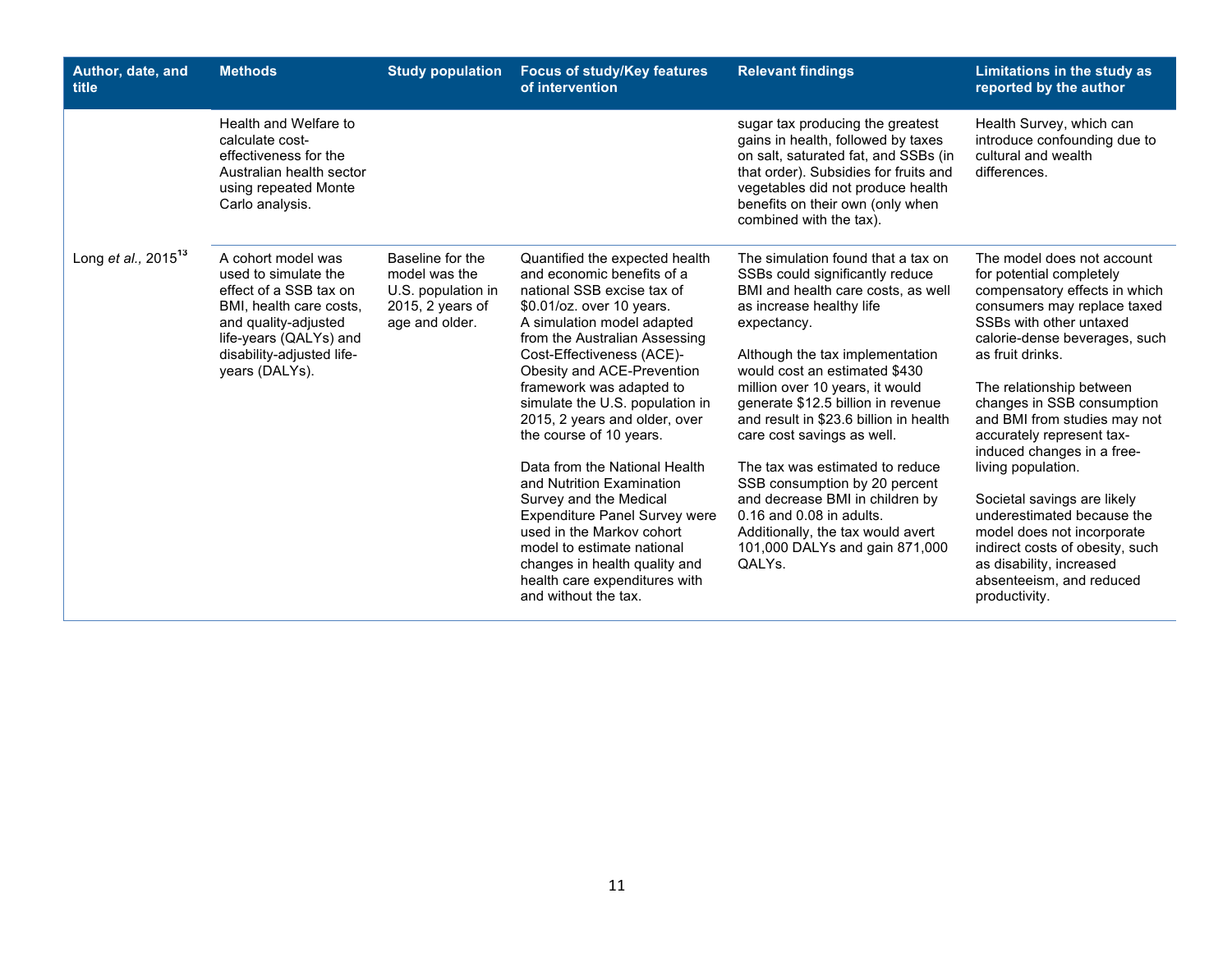| Author, date, and<br>title | <b>Methods</b>                                                                                                                                                                                   | <b>Study population</b>                                                                       | <b>Focus of study/Key features</b><br>of intervention                                                                                                                                                                                                                                                                                                                                                                                                                                                                                                                                                                                                             | <b>Relevant findings</b>                                                                                                                                                                                                                                                                                                                                                                                                                                                                                                                                                                        | Limitations in the study as<br>reported by the author                                                                                                                                                                                                                                                                                                                                                                                                                                                                                                                                    |
|----------------------------|--------------------------------------------------------------------------------------------------------------------------------------------------------------------------------------------------|-----------------------------------------------------------------------------------------------|-------------------------------------------------------------------------------------------------------------------------------------------------------------------------------------------------------------------------------------------------------------------------------------------------------------------------------------------------------------------------------------------------------------------------------------------------------------------------------------------------------------------------------------------------------------------------------------------------------------------------------------------------------------------|-------------------------------------------------------------------------------------------------------------------------------------------------------------------------------------------------------------------------------------------------------------------------------------------------------------------------------------------------------------------------------------------------------------------------------------------------------------------------------------------------------------------------------------------------------------------------------------------------|------------------------------------------------------------------------------------------------------------------------------------------------------------------------------------------------------------------------------------------------------------------------------------------------------------------------------------------------------------------------------------------------------------------------------------------------------------------------------------------------------------------------------------------------------------------------------------------|
|                            | Health and Welfare to<br>calculate cost-<br>effectiveness for the<br>Australian health sector<br>using repeated Monte<br>Carlo analysis.                                                         |                                                                                               |                                                                                                                                                                                                                                                                                                                                                                                                                                                                                                                                                                                                                                                                   | sugar tax producing the greatest<br>gains in health, followed by taxes<br>on salt, saturated fat, and SSBs (in<br>that order). Subsidies for fruits and<br>vegetables did not produce health<br>benefits on their own (only when<br>combined with the tax).                                                                                                                                                                                                                                                                                                                                     | Health Survey, which can<br>introduce confounding due to<br>cultural and wealth<br>differences.                                                                                                                                                                                                                                                                                                                                                                                                                                                                                          |
| Long et al., $2015^{13}$   | A cohort model was<br>used to simulate the<br>effect of a SSB tax on<br>BMI, health care costs,<br>and quality-adjusted<br>life-years (QALYs) and<br>disability-adjusted life-<br>years (DALYs). | Baseline for the<br>model was the<br>U.S. population in<br>2015, 2 years of<br>age and older. | Quantified the expected health<br>and economic benefits of a<br>national SSB excise tax of<br>\$0.01/oz. over 10 years.<br>A simulation model adapted<br>from the Australian Assessing<br>Cost-Effectiveness (ACE)-<br>Obesity and ACE-Prevention<br>framework was adapted to<br>simulate the U.S. population in<br>2015, 2 years and older, over<br>the course of 10 years.<br>Data from the National Health<br>and Nutrition Examination<br>Survey and the Medical<br><b>Expenditure Panel Survey were</b><br>used in the Markov cohort<br>model to estimate national<br>changes in health quality and<br>health care expenditures with<br>and without the tax. | The simulation found that a tax on<br>SSBs could significantly reduce<br>BMI and health care costs, as well<br>as increase healthy life<br>expectancy.<br>Although the tax implementation<br>would cost an estimated \$430<br>million over 10 years, it would<br>generate \$12.5 billion in revenue<br>and result in \$23.6 billion in health<br>care cost savings as well.<br>The tax was estimated to reduce<br>SSB consumption by 20 percent<br>and decrease BMI in children by<br>0.16 and 0.08 in adults.<br>Additionally, the tax would avert<br>101,000 DALYs and gain 871,000<br>QALYs. | The model does not account<br>for potential completely<br>compensatory effects in which<br>consumers may replace taxed<br>SSBs with other untaxed<br>calorie-dense beverages, such<br>as fruit drinks.<br>The relationship between<br>changes in SSB consumption<br>and BMI from studies may not<br>accurately represent tax-<br>induced changes in a free-<br>living population.<br>Societal savings are likely<br>underestimated because the<br>model does not incorporate<br>indirect costs of obesity, such<br>as disability, increased<br>absenteeism, and reduced<br>productivity. |